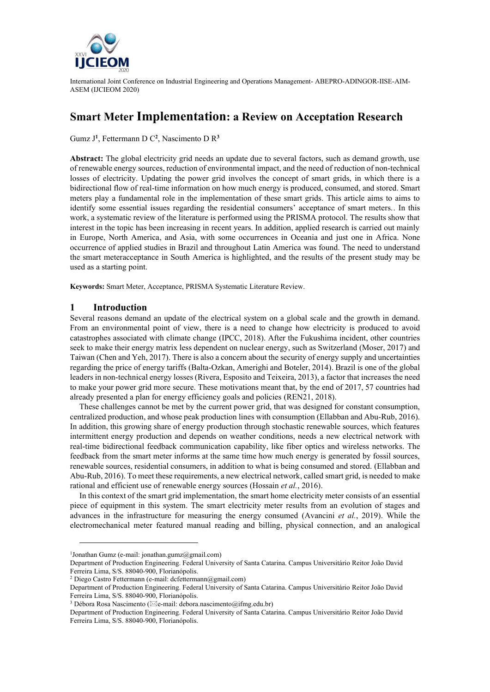

# **Smart Meter Implementation: a Review on Acceptation Research**

Gumz J**<sup>1</sup>** , Fettermann D C**<sup>2</sup>** , Nascimento D R**<sup>3</sup>**

Abstract: The global electricity grid needs an update due to several factors, such as demand growth, use of renewable energy sources, reduction of environmental impact, and the need of reduction of non-technical losses of electricity. Updating the power grid involves the concept of smart grids, in which there is a bidirectional flow of real-time information on how much energy is produced, consumed, and stored. Smart meters play a fundamental role in the implementation of these smart grids. This article aims to aims to identify some essential issues regarding the residential consumers' acceptance of smart meters.. In this work, a systematic review of the literature is performed using the PRISMA protocol. The results show that interest in the topic has been increasing in recent years. In addition, applied research is carried out mainly in Europe, North America, and Asia, with some occurrences in Oceania and just one in Africa. None occurrence of applied studies in Brazil and throughout Latin America was found. The need to understand the smart meteracceptance in South America is highlighted, and the results of the present study may be used as a starting point.

**Keywords:** Smart Meter, Acceptance, PRISMA Systematic Literature Review.

#### **1 Introduction**

Several reasons demand an update of the electrical system on a global scale and the growth in demand. From an environmental point of view, there is a need to change how electricity is produced to avoid catastrophes associated with climate change (IPCC, 2018). After the Fukushima incident, other countries seek to make their energy matrix less dependent on nuclear energy, such as Switzerland (Moser, 2017) and Taiwan (Chen and Yeh, 2017). There is also a concern about the security of energy supply and uncertainties regarding the price of energy tariffs (Balta-Ozkan, Amerighi and Boteler, 2014). Brazil is one of the global leaders in non-technical energy losses (Rivera, Esposito and Teixeira, 2013), a factor that increases the need to make your power grid more secure. These motivations meant that, by the end of 2017, 57 countries had already presented a plan for energy efficiency goals and policies (REN21, 2018).

These challenges cannot be met by the current power grid, that was designed for constant consumption, centralized production, and whose peak production lines with consumption (Ellabban and Abu-Rub, 2016). In addition, this growing share of energy production through stochastic renewable sources, which features intermittent energy production and depends on weather conditions, needs a new electrical network with real-time bidirectional feedback communication capability, like fiber optics and wireless networks. The feedback from the smart meter informs at the same time how much energy is generated by fossil sources, renewable sources, residential consumers, in addition to what is being consumed and stored. (Ellabban and Abu-Rub, 2016). To meet these requirements, a new electrical network, called smart grid, is needed to make rational and efficient use of renewable energy sources (Hossain *et al.*, 2016).

In this context of the smart grid implementation, the smart home electricity meter consists of an essential piece of equipment in this system. The smart electricity meter results from an evolution of stages and advances in the infrastructure for measuring the energy consumed (Avancini *et al.*, 2019). While the electromechanical meter featured manual reading and billing, physical connection, and an analogical

<sup>1</sup> Jonathan Gumz (e-mail[: jonathan.gumz@gmail.com\)](mailto:jonathan.gumz@gmail.com)

Department of Production Engineering. Federal University of Santa Catarina. Campus Universitário Reitor João David Ferreira Lima, S/S. 88040-900, Florianópolis.

<sup>2</sup> Diego Castro Fettermann (e-mail[: dcfettermann@gmail.com\)](mailto:dcfettermann@gmail.com)

Department of Production Engineering. Federal University of Santa Catarina. Campus Universitário Reitor João David Ferreira Lima, S/S. 88040-900, Florianópolis.

<sup>&</sup>lt;sup>3</sup> Débora Rosa Nascimento ( $\boxtimes$ e-mail[: debora.nascimento@ifmg.edu.br\)](mailto:debora.nascimento@ifmg.edu.br)

Department of Production Engineering. Federal University of Santa Catarina. Campus Universitário Reitor João David Ferreira Lima, S/S. 88040-900, Florianópolis.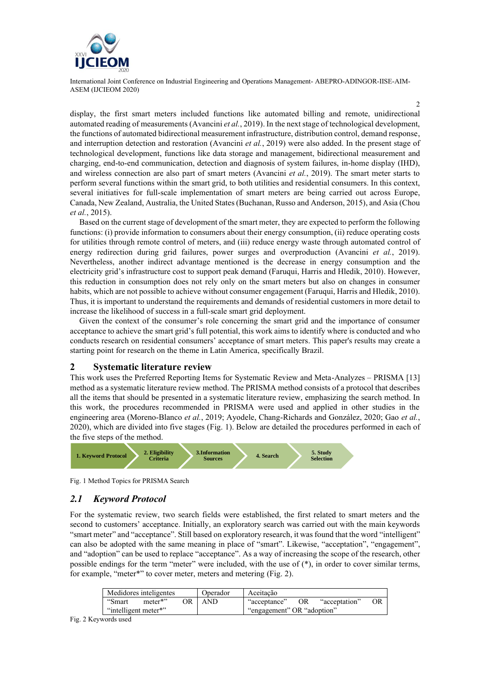

2

display, the first smart meters included functions like automated billing and remote, unidirectional automated reading of measurements (Avancini *et al.*, 2019). In the next stage of technological development, the functions of automated bidirectional measurement infrastructure, distribution control, demand response, and interruption detection and restoration (Avancini *et al.*, 2019) were also added. In the present stage of technological development, functions like data storage and management, bidirectional measurement and charging, end-to-end communication, detection and diagnosis of system failures, in-home display (IHD), and wireless connection are also part of smart meters (Avancini *et al.*, 2019). The smart meter starts to perform several functions within the smart grid, to both utilities and residential consumers. In this context, several initiatives for full-scale implementation of smart meters are being carried out across Europe, Canada, New Zealand, Australia, the United States (Buchanan, Russo and Anderson, 2015), and Asia (Chou *et al.*, 2015).

Based on the current stage of development of the smart meter, they are expected to perform the following functions: (i) provide information to consumers about their energy consumption, (ii) reduce operating costs for utilities through remote control of meters, and (iii) reduce energy waste through automated control of energy redirection during grid failures, power surges and overproduction (Avancini *et al.*, 2019). Nevertheless, another indirect advantage mentioned is the decrease in energy consumption and the electricity grid's infrastructure cost to support peak demand (Faruqui, Harris and Hledik, 2010). However, this reduction in consumption does not rely only on the smart meters but also on changes in consumer habits, which are not possible to achieve without consumer engagement (Faruqui, Harris and Hledik, 2010). Thus, it is important to understand the requirements and demands of residential customers in more detail to increase the likelihood of success in a full-scale smart grid deployment.

Given the context of the consumer's role concerning the smart grid and the importance of consumer acceptance to achieve the smart grid's full potential, this work aims to identify where is conducted and who conducts research on residential consumers' acceptance of smart meters. This paper's results may create a starting point for research on the theme in Latin America, specifically Brazil.

#### **2 Systematic literature review**

This work uses the Preferred Reporting Items for Systematic Review and Meta-Analyzes – PRISMA [13] method as a systematic literature review method. The PRISMA method consists of a protocol that describes all the items that should be presented in a systematic literature review, emphasizing the search method. In this work, the procedures recommended in PRISMA were used and applied in other studies in the engineering area (Moreno-Blanco *et al.*, 2019; Ayodele, Chang-Richards and González, 2020; Gao *et al.*, 2020), which are divided into five stages [\(Fig. 1\)](#page-1-0). Below are detailed the procedures performed in each of the five steps of the method.



<span id="page-1-0"></span>Fig. 1 Method Topics for PRISMA Search

#### *2.1 Keyword Protocol*

For the systematic review, two search fields were established, the first related to smart meters and the second to customers' acceptance. Initially, an exploratory search was carried out with the main keywords "smart meter" and "acceptance". Still based on exploratory research, it was found that the word "intelligent" can also be adopted with the same meaning in place of "smart". Likewise, "acceptation", "engagement", and "adoption" can be used to replace "acceptance". As a way of increasing the scope of the research, other possible endings for the term "meter" were included, with the use of (\*), in order to cover similar terms, for example, "meter\*" to cover meter, meters and metering [\(Fig. 2\)](#page-1-1).

| "Smart<br>meter*"<br>OR AND<br>OR<br>"acceptation"<br>"acceptance"<br>"intelligent meter*"<br>"engagement" OR "adoption" |  | Medidores inteligentes |  | Operador | Aceitação |  |  |  |
|--------------------------------------------------------------------------------------------------------------------------|--|------------------------|--|----------|-----------|--|--|--|
|                                                                                                                          |  |                        |  |          |           |  |  |  |
|                                                                                                                          |  |                        |  |          |           |  |  |  |

<span id="page-1-1"></span>Fig. 2 Keywords used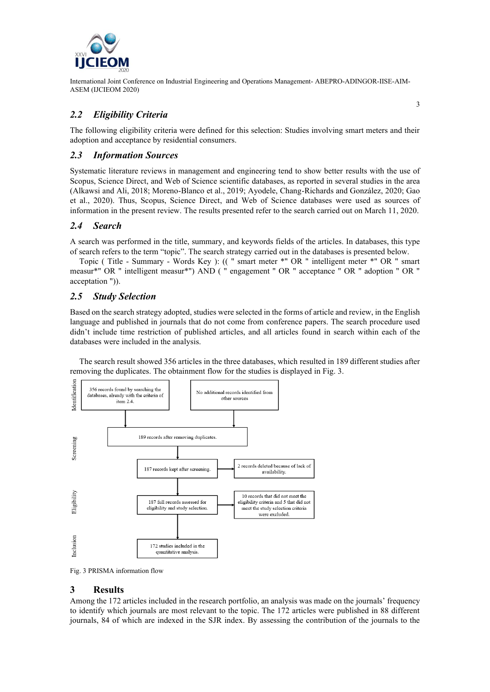

## *2.2 Eligibility Criteria*

The following eligibility criteria were defined for this selection: Studies involving smart meters and their adoption and acceptance by residential consumers.

## *2.3 Information Sources*

Systematic literature reviews in management and engineering tend to show better results with the use of Scopus, Science Direct, and Web of Science scientific databases, as reported in several studies in the area (Alkawsi and Ali, 2018; Moreno-Blanco et al., 2019; Ayodele, Chang-Richards and González, 2020; Gao et al., 2020). Thus, Scopus, Science Direct, and Web of Science databases were used as sources of information in the present review. The results presented refer to the search carried out on March 11, 2020.

## *2.4 Search*

A search was performed in the title, summary, and keywords fields of the articles. In databases, this type of search refers to the term "topic". The search strategy carried out in the databases is presented below.

Topic ( Title - Summary - Words Key ): (( " smart meter \*" OR " intelligent meter \*" OR " smart measur\*" OR " intelligent measur\*") AND ( " engagement " OR " acceptance " OR " adoption " OR " acceptation ")).

## *2.5 Study Selection*

Based on the search strategy adopted, studies were selected in the forms of article and review, in the English language and published in journals that do not come from conference papers. The search procedure used didn't include time restriction of published articles, and all articles found in search within each of the databases were included in the analysis.

The search result showed 356 articles in the three databases, which resulted in 189 different studies after removing the duplicates. The obtainment flow for the studies is displayed in [Fig. 3.](#page-2-0)



<span id="page-2-0"></span>Fig. 3 PRISMA information flow

## **3 Results**

Among the 172 articles included in the research portfolio, an analysis was made on the journals' frequency to identify which journals are most relevant to the topic. The 172 articles were published in 88 different journals, 84 of which are indexed in the SJR index. By assessing the contribution of the journals to the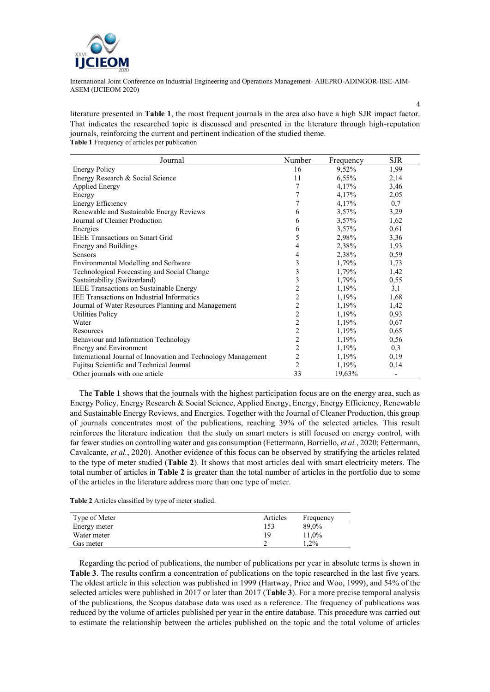

literature presented in **[Table 1](#page-3-0)**, the most frequent journals in the area also have a high SJR impact factor. That indicates the researched topic is discussed and presented in the literature through high-reputation journals, reinforcing the current and pertinent indication of the studied theme. **Table 1** Frequency of articles per publication

4

<span id="page-3-0"></span>

| Journal                                                       | Number         | Frequency | <b>SJR</b> |
|---------------------------------------------------------------|----------------|-----------|------------|
| <b>Energy Policy</b>                                          | 16             | 9,52%     | 1,99       |
| Energy Research & Social Science                              | 11             | 6,55%     | 2,14       |
| <b>Applied Energy</b>                                         | 7              | 4,17%     | 3,46       |
| Energy                                                        | 7              | 4,17%     | 2,05       |
| <b>Energy Efficiency</b>                                      | 7              | 4,17%     | 0,7        |
| Renewable and Sustainable Energy Reviews                      | 6              | $3,57\%$  | 3,29       |
| Journal of Cleaner Production                                 | 6              | 3,57%     | 1,62       |
| Energies                                                      | 6              | $3,57\%$  | 0,61       |
| <b>IEEE</b> Transactions on Smart Grid                        | 5              | 2,98%     | 3,36       |
| <b>Energy and Buildings</b>                                   | 4              | 2,38%     | 1,93       |
| <b>Sensors</b>                                                | 4              | 2,38%     | 0,59       |
| Environmental Modelling and Software                          | 3              | 1,79%     | 1,73       |
| Technological Forecasting and Social Change                   | 3              | 1,79%     | 1,42       |
| Sustainability (Switzerland)                                  | 3              | 1,79%     | 0,55       |
| IEEE Transactions on Sustainable Energy                       | $\overline{c}$ | 1,19%     | 3,1        |
| <b>IEE Transactions on Industrial Informatics</b>             | $\overline{c}$ | 1,19%     | 1,68       |
| Journal of Water Resources Planning and Management            | $\overline{c}$ | 1,19%     | 1,42       |
| <b>Utilities Policy</b>                                       | $\overline{c}$ | 1,19%     | 0,93       |
| Water                                                         | $\overline{c}$ | 1,19%     | 0,67       |
| Resources                                                     | $\overline{c}$ | 1,19%     | 0,65       |
| Behaviour and Information Technology                          | $\overline{c}$ | 1,19%     | 0,56       |
| Energy and Environment                                        | $\overline{2}$ | 1,19%     | 0,3        |
| International Journal of Innovation and Technology Management | $\overline{c}$ | 1,19%     | 0,19       |
| Fujitsu Scientific and Technical Journal                      | $\overline{c}$ | 1,19%     | 0,14       |
| Other journals with one article                               | 33             | 19,63%    |            |

The **[Table 1](#page-3-0)** shows that the journals with the highest participation focus are on the energy area, such as Energy Policy, Energy Research & Social Science, Applied Energy, Energy, Energy Efficiency, Renewable and Sustainable Energy Reviews, and Energies. Together with the Journal of Cleaner Production, this group of journals concentrates most of the publications, reaching 39% of the selected articles. This result reinforces the literature indication that the study on smart meters is still focused on energy control, with far fewer studies on controlling water and gas consumption (Fettermann, Borriello, *et al.*, 2020; Fettermann, Cavalcante, *et al.*, 2020). Another evidence of this focus can be observed by stratifying the articles related to the type of meter studied (**[Table 2](#page-3-1)**). It shows that most articles deal with smart electricity meters. The total number of articles in **[Table 2](#page-3-1)** is greater than the total number of articles in the portfolio due to some of the articles in the literature address more than one type of meter.

<span id="page-3-1"></span>**Table 2** Articles classified by type of meter studied.

| Type of Meter | Articles | Frequency |
|---------------|----------|-----------|
| Energy meter  | 153      | 89,0%     |
| Water meter   | 19       | 11.0%     |
| Gas meter     |          | $1.2\%$   |

Regarding the period of publications, the number of publications per year in absolute terms is shown in **[Table 3](#page-4-0)**. The results confirm a concentration of publications on the topic researched in the last five years. The oldest article in this selection was published in 1999 (Hartway, Price and Woo, 1999), and 54% of the selected articles were published in 2017 or later than 2017 (**[Table 3](#page-4-0)**). For a more precise temporal analysis of the publications, the Scopus database data was used as a reference. The frequency of publications was reduced by the volume of articles published per year in the entire database. This procedure was carried out to estimate the relationship between the articles published on the topic and the total volume of articles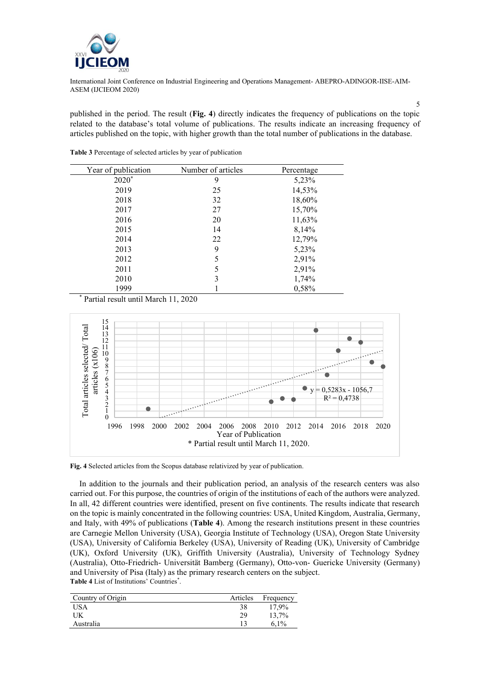

published in the period. The result (**[Fig. 4](#page-4-1)**) directly indicates the frequency of publications on the topic related to the database's total volume of publications. The results indicate an increasing frequency of articles published on the topic, with higher growth than the total number of publications in the database.

| Year of publication | Number of articles | Percentage |
|---------------------|--------------------|------------|
| $2020*$             | 9                  | 5,23%      |
| 2019                | 25                 | 14,53%     |
| 2018                | 32                 | 18,60%     |
| 2017                | 27                 | 15,70%     |
| 2016                | 20                 | 11,63%     |
| 2015                | 14                 | 8,14%      |
| 2014                | 22                 | 12,79%     |
| 2013                | 9                  | 5,23%      |
| 2012                | 5                  | 2,91%      |
| 2011                | 5                  | 2,91%      |
| 2010                | 3                  | 1,74%      |
| 1999                |                    | 0,58%      |

<span id="page-4-0"></span>**Table 3** Percentage of selected articles by year of publication

\* Partial result until March 11, 2020



<span id="page-4-1"></span>**Fig. 4** Selected articles from the Scopus database relativized by year of publication.

In addition to the journals and their publication period, an analysis of the research centers was also carried out. For this purpose, the countries of origin of the institutions of each of the authors were analyzed. In all, 42 different countries were identified, present on five continents. The results indicate that research on the topic is mainly concentrated in the following countries: USA, United Kingdom, Australia, Germany, and Italy, with 49% of publications (**[Table 4](#page-4-2)**). Among the research institutions present in these countries are Carnegie Mellon University (USA), Georgia Institute of Technology (USA), Oregon State University (USA), University of California Berkeley (USA), University of Reading (UK), University of Cambridge (UK), Oxford University (UK), Griffith University (Australia), University of Technology Sydney (Australia), Otto-Friedrich- Universität Bamberg (Germany), Otto-von- Guericke University (Germany) and University of Pisa (Italy) as the primary research centers on the subject. **Table 4** List of Institutions' Countries\* .

<span id="page-4-2"></span>

| Country of Origin | Articles | Frequency |
|-------------------|----------|-----------|
| <b>USA</b>        | 38       | 17,9%     |
| UK                | 29       | 13.7%     |
| Australia         |          | 6.1%      |

5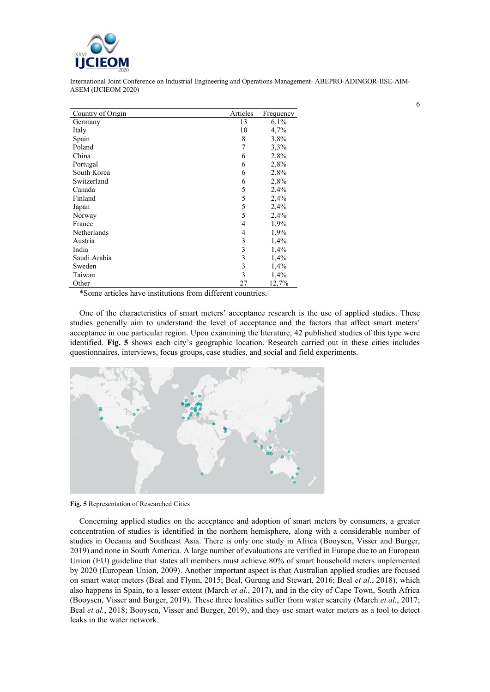

| Country of Origin | Articles | Frequency |
|-------------------|----------|-----------|
| Germany           | 13       | 6,1%      |
| Italy             | 10       | 4,7%      |
| Spain             | 8        | 3,8%      |
| Poland            | 7        | 3,3%      |
| China             | 6        | 2,8%      |
| Portugal          | 6        | 2,8%      |
| South Korea       | 6        | 2,8%      |
| Switzerland       | 6        | 2,8%      |
| Canada            | 5        | 2,4%      |
| Finland           | 5        | 2,4%      |
| Japan             | 5        | 2,4%      |
| Norway            | 5        | 2,4%      |
| France            | 4        | 1,9%      |
| Netherlands       | 4        | 1,9%      |
| Austria           | 3        | 1,4%      |
| India             | 3        | 1,4%      |
| Saudi Arabia      | 3        | 1,4%      |
| Sweden            | 3        | 1,4%      |
| Taiwan            | 3        | 1,4%      |
| Other             | 27       | 12,7%     |

\*Some articles have institutions from different countries.

One of the characteristics of smart meters' acceptance research is the use of applied studies. These studies generally aim to understand the level of acceptance and the factors that affect smart meters' acceptance in one particular region. Upon examining the literature, 42 published studies of this type were identified. **[Fig. 5](#page-5-0)** shows each city's geographic location. Research carried out in these cities includes questionnaires, interviews, focus groups, case studies, and social and field experiments.



<span id="page-5-0"></span>**Fig. 5** Representation of Researched Cities

Concerning applied studies on the acceptance and adoption of smart meters by consumers, a greater concentration of studies is identified in the northern hemisphere, along with a considerable number of studies in Oceania and Southeast Asia. There is only one study in Africa (Booysen, Visser and Burger, 2019) and none in South America. A large number of evaluations are verified in Europe due to an European Union (EU) guideline that states all members must achieve 80% of smart household meters implemented by 2020 (European Union, 2009). Another important aspect is that Australian applied studies are focused on smart water meters (Beal and Flynn, 2015; Beal, Gurung and Stewart, 2016; Beal *et al.*, 2018), which also happens in Spain, to a lesser extent (March *et al.*, 2017), and in the city of Cape Town, South Africa (Booysen, Visser and Burger, 2019). These three localities suffer from water scarcity (March *et al.*, 2017; Beal *et al.*, 2018; Booysen, Visser and Burger, 2019), and they use smart water meters as a tool to detect leaks in the water network.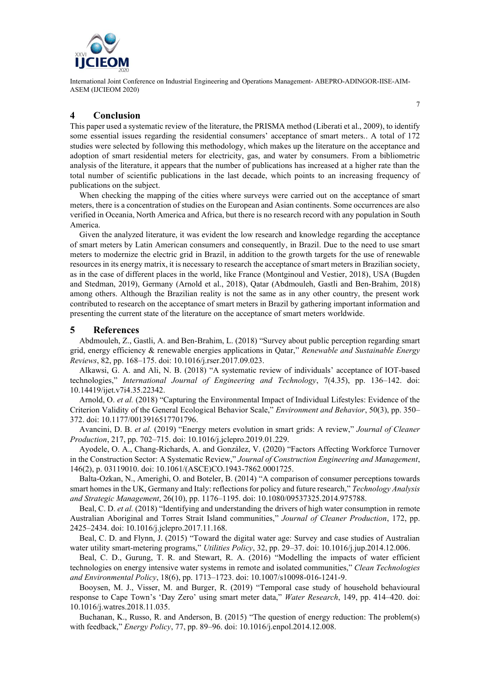

#### **4 Conclusion**

This paper used a systematic review of the literature, the PRISMA method (Liberati et al., 2009), to identify some essential issues regarding the residential consumers' acceptance of smart meters.. A total of 172 studies were selected by following this methodology, which makes up the literature on the acceptance and adoption of smart residential meters for electricity, gas, and water by consumers. From a bibliometric analysis of the literature, it appears that the number of publications has increased at a higher rate than the total number of scientific publications in the last decade, which points to an increasing frequency of publications on the subject.

When checking the mapping of the cities where surveys were carried out on the acceptance of smart meters, there is a concentration of studies on the European and Asian continents. Some occurrences are also verified in Oceania, North America and Africa, but there is no research record with any population in South America.

Given the analyzed literature, it was evident the low research and knowledge regarding the acceptance of smart meters by Latin American consumers and consequently, in Brazil. Due to the need to use smart meters to modernize the electric grid in Brazil, in addition to the growth targets for the use of renewable resources in its energy matrix, it is necessary to research the acceptance of smart meters in Brazilian society, as in the case of different places in the world, like France (Montginoul and Vestier, 2018), USA (Bugden and Stedman, 2019), Germany (Arnold et al., 2018), Qatar (Abdmouleh, Gastli and Ben-Brahim, 2018) among others. Although the Brazilian reality is not the same as in any other country, the present work contributed to research on the acceptance of smart meters in Brazil by gathering important information and presenting the current state of the literature on the acceptance of smart meters worldwide.

#### **5 References**

Abdmouleh, Z., Gastli, A. and Ben-Brahim, L. (2018) "Survey about public perception regarding smart grid, energy efficiency & renewable energies applications in Qatar," *Renewable and Sustainable Energy Reviews*, 82, pp. 168–175. doi: 10.1016/j.rser.2017.09.023.

Alkawsi, G. A. and Ali, N. B. (2018) "A systematic review of individuals' acceptance of IOT-based technologies," *International Journal of Engineering and Technology*, 7(4.35), pp. 136–142. doi: 10.14419/ijet.v7i4.35.22342.

Arnold, O. *et al.* (2018) "Capturing the Environmental Impact of Individual Lifestyles: Evidence of the Criterion Validity of the General Ecological Behavior Scale," *Environment and Behavior*, 50(3), pp. 350– 372. doi: 10.1177/0013916517701796.

Avancini, D. B. *et al.* (2019) "Energy meters evolution in smart grids: A review," *Journal of Cleaner Production*, 217, pp. 702–715. doi: 10.1016/j.jclepro.2019.01.229.

Ayodele, O. A., Chang-Richards, A. and González, V. (2020) "Factors Affecting Workforce Turnover in the Construction Sector: A Systematic Review," *Journal of Construction Engineering and Management*, 146(2), p. 03119010. doi: 10.1061/(ASCE)CO.1943-7862.0001725.

Balta-Ozkan, N., Amerighi, O. and Boteler, B. (2014) "A comparison of consumer perceptions towards smart homes in the UK, Germany and Italy: reflections for policy and future research," *Technology Analysis and Strategic Management*, 26(10), pp. 1176–1195. doi: 10.1080/09537325.2014.975788.

Beal, C. D. *et al.* (2018) "Identifying and understanding the drivers of high water consumption in remote Australian Aboriginal and Torres Strait Island communities," *Journal of Cleaner Production*, 172, pp. 2425–2434. doi: 10.1016/j.jclepro.2017.11.168.

Beal, C. D. and Flynn, J. (2015) "Toward the digital water age: Survey and case studies of Australian water utility smart-metering programs," *Utilities Policy*, 32, pp. 29–37. doi: 10.1016/j.jup.2014.12.006.

Beal, C. D., Gurung, T. R. and Stewart, R. A. (2016) "Modelling the impacts of water efficient technologies on energy intensive water systems in remote and isolated communities," *Clean Technologies and Environmental Policy*, 18(6), pp. 1713–1723. doi: 10.1007/s10098-016-1241-9.

Booysen, M. J., Visser, M. and Burger, R. (2019) "Temporal case study of household behavioural response to Cape Town's 'Day Zero' using smart meter data," *Water Research*, 149, pp. 414–420. doi: 10.1016/j.watres.2018.11.035.

Buchanan, K., Russo, R. and Anderson, B. (2015) "The question of energy reduction: The problem(s) with feedback," *Energy Policy*, 77, pp. 89–96. doi: 10.1016/j.enpol.2014.12.008.